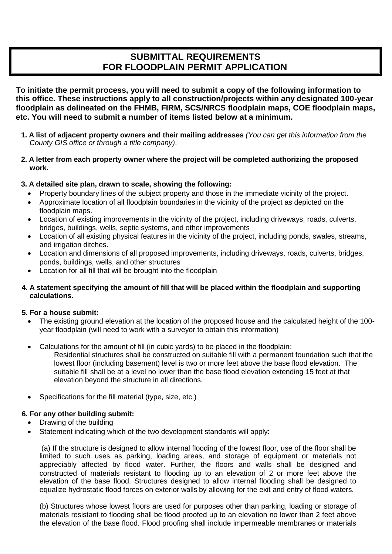# **SUBMITTAL REQUIREMENTS FOR FLOODPLAIN PERMIT APPLICATION**

**To initiate the permit process, you will need to submit a copy of the following information to this office. These instructions apply to all construction/projects within any designated 100-year floodplain as delineated on the FHMB, FIRM, SCS/NRCS floodplain maps, COE floodplain maps, etc. You will need to submit a number of items listed below at a minimum.**

- **1. A list of adjacent property owners and their mailing addresses** *(You can get this information from the County GIS office or through a title company).*
- **2. A letter from each property owner where the project will be completed authorizing the proposed work.**

# **3. A detailed site plan, drawn to scale, showing the following:**

- Property boundary lines of the subiect property and those in the immediate vicinity of the project.
- Approximate location of all floodplain boundaries in the vicinity of the project as depicted on the floodplain maps.
- Location of existing improvements in the vicinity of the project, including driveways, roads, culverts, bridges, buildings, wells, septic systems, and other improvements
- Location of all existing physical features in the vicinity of the project, including ponds, swales, streams, and irrigation ditches.
- Location and dimensions of all proposed improvements, including driveways, roads, culverts, bridges, ponds, buildings, wells, and other structures
- Location for all fill that will be brought into the floodplain

## **4. A statement specifying the amount of fill that will be placed within the floodplain and supporting calculations.**

# **5. For a house submit:**

- The existing ground elevation at the location of the proposed house and the calculated height of the 100 year floodplain (will need to work with a surveyor to obtain this information)
- Calculations for the amount of fill (in cubic yards) to be placed in the floodplain:
	- Residential structures shall be constructed on suitable fill with a permanent foundation such that the lowest floor (including basement) level is two or more feet above the base flood elevation. The suitable fill shall be at a level no lower than the base flood elevation extending 15 feet at that elevation beyond the structure in all directions.
- Specifications for the fill material (type, size, etc.)

## **6. For any other building submit:**

- Drawing of the building
- Statement indicating which of the two development standards will apply:

(a) If the structure is designed to allow internal flooding of the lowest floor, use of the floor shall be limited to such uses as parking, loading areas, and storage of equipment or materials not appreciably affected by flood water. Further, the floors and walls shall be designed and constructed of materials resistant to flooding up to an elevation of 2 or more feet above the elevation of the base flood. Structures designed to allow internal flooding shall be designed to equalize hydrostatic flood forces on exterior walls by allowing for the exit and entry of flood waters.

(b) Structures whose lowest floors are used for purposes other than parking, loading or storage of materials resistant to flooding shall be flood proofed up to an elevation no lower than 2 feet above the elevation of the base flood. Flood proofing shall include impermeable membranes or materials